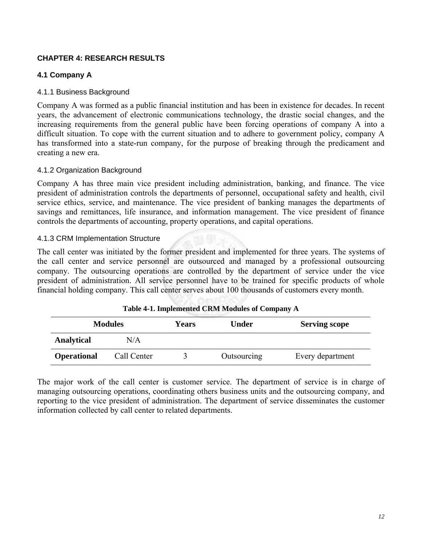## **CHAPTER 4: RESEARCH RESULTS**

## **4.1 Company A**

### 4.1.1 Business Background

Company A was formed as a public financial institution and has been in existence for decades. In recent years, the advancement of electronic communications technology, the drastic social changes, and the increasing requirements from the general public have been forcing operations of company A into a difficult situation. To cope with the current situation and to adhere to government policy, company A has transformed into a state-run company, for the purpose of breaking through the predicament and creating a new era.

### 4.1.2 Organization Background

Company A has three main vice president including administration, banking, and finance. The vice president of administration controls the departments of personnel, occupational safety and health, civil service ethics, service, and maintenance. The vice president of banking manages the departments of savings and remittances, life insurance, and information management. The vice president of finance controls the departments of accounting, property operations, and capital operations.

### 4.1.3 CRM Implementation Structure

The call center was initiated by the former president and implemented for three years. The systems of the call center and service personnel are outsourced and managed by a professional outsourcing company. The outsourcing operations are controlled by the department of service under the vice president of administration. All service personnel have to be trained for specific products of whole financial holding company. This call center serves about 100 thousands of customers every month.

|                    | <b>Modules</b> | <b>Years</b> | Under       | <b>Serving scope</b> |
|--------------------|----------------|--------------|-------------|----------------------|
| <b>Analytical</b>  | N/A            |              |             |                      |
| <b>Operational</b> | Call Center    |              | Outsourcing | Every department     |

The major work of the call center is customer service. The department of service is in charge of managing outsourcing operations, coordinating others business units and the outsourcing company, and reporting to the vice president of administration. The department of service disseminates the customer information collected by call center to related departments.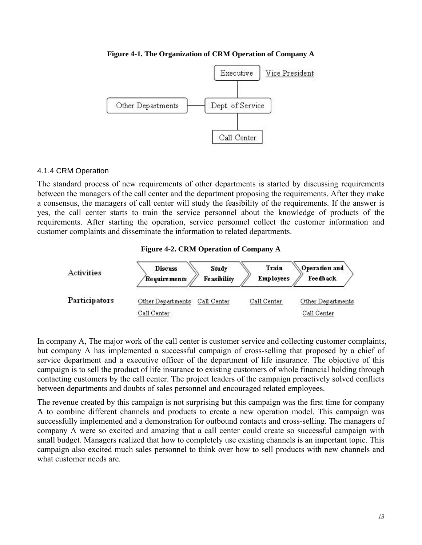#### **Figure 4-1. The Organization of CRM Operation of Company A**



#### 4.1.4 CRM Operation

The standard process of new requirements of other departments is started by discussing requirements between the managers of the call center and the department proposing the requirements. After they make a consensus, the managers of call center will study the feasibility of the requirements. If the answer is yes, the call center starts to train the service personnel about the knowledge of products of the requirements. After starting the operation, service personnel collect the customer information and customer complaints and disseminate the information to related departments.

#### **Figure 4-2. CRM Operation of Company A**



In company A, The major work of the call center is customer service and collecting customer complaints, but company A has implemented a successful campaign of cross-selling that proposed by a chief of service department and a executive officer of the department of life insurance. The objective of this campaign is to sell the product of life insurance to existing customers of whole financial holding through contacting customers by the call center. The project leaders of the campaign proactively solved conflicts between departments and doubts of sales personnel and encouraged related employees.

The revenue created by this campaign is not surprising but this campaign was the first time for company A to combine different channels and products to create a new operation model. This campaign was successfully implemented and a demonstration for outbound contacts and cross-selling. The managers of company A were so excited and amazing that a call center could create so successful campaign with small budget. Managers realized that how to completely use existing channels is an important topic. This campaign also excited much sales personnel to think over how to sell products with new channels and what customer needs are.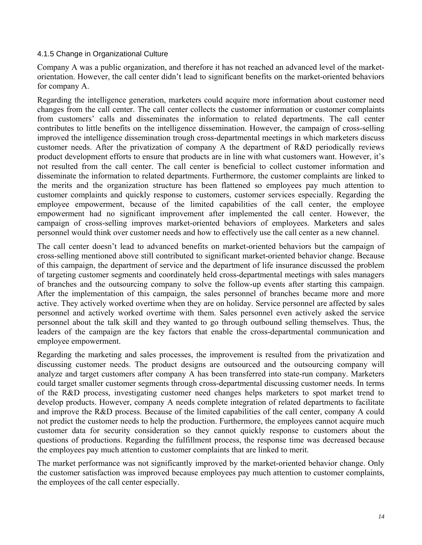### 4.1.5 Change in Organizational Culture

Company A was a public organization, and therefore it has not reached an advanced level of the marketorientation. However, the call center didn't lead to significant benefits on the market-oriented behaviors for company A.

Regarding the intelligence generation, marketers could acquire more information about customer need changes from the call center. The call center collects the customer information or customer complaints from customers' calls and disseminates the information to related departments. The call center contributes to little benefits on the intelligence dissemination. However, the campaign of cross-selling improved the intelligence dissemination trough cross-departmental meetings in which marketers discuss customer needs. After the privatization of company A the department of R&D periodically reviews product development efforts to ensure that products are in line with what customers want. However, it's not resulted from the call center. The call center is beneficial to collect customer information and disseminate the information to related departments. Furthermore, the customer complaints are linked to the merits and the organization structure has been flattened so employees pay much attention to customer complaints and quickly response to customers, customer services especially. Regarding the employee empowerment, because of the limited capabilities of the call center, the employee empowerment had no significant improvement after implemented the call center. However, the campaign of cross-selling improves market-oriented behaviors of employees. Marketers and sales personnel would think over customer needs and how to effectively use the call center as a new channel.

The call center doesn't lead to advanced benefits on market-oriented behaviors but the campaign of cross-selling mentioned above still contributed to significant market-oriented behavior change. Because of this campaign, the department of service and the department of life insurance discussed the problem of targeting customer segments and coordinately held cross-departmental meetings with sales managers of branches and the outsourcing company to solve the follow-up events after starting this campaign. After the implementation of this campaign, the sales personnel of branches became more and more active. They actively worked overtime when they are on holiday. Service personnel are affected by sales personnel and actively worked overtime with them. Sales personnel even actively asked the service personnel about the talk skill and they wanted to go through outbound selling themselves. Thus, the leaders of the campaign are the key factors that enable the cross-departmental communication and employee empowerment.

Regarding the marketing and sales processes, the improvement is resulted from the privatization and discussing customer needs. The product designs are outsourced and the outsourcing company will analyze and target customers after company A has been transferred into state-run company. Marketers could target smaller customer segments through cross-departmental discussing customer needs. In terms of the R&D process, investigating customer need changes helps marketers to spot market trend to develop products. However, company A needs complete integration of related departments to facilitate and improve the R&D process. Because of the limited capabilities of the call center, company A could not predict the customer needs to help the production. Furthermore, the employees cannot acquire much customer data for security consideration so they cannot quickly response to customers about the questions of productions. Regarding the fulfillment process, the response time was decreased because the employees pay much attention to customer complaints that are linked to merit.

The market performance was not significantly improved by the market-oriented behavior change. Only the customer satisfaction was improved because employees pay much attention to customer complaints, the employees of the call center especially.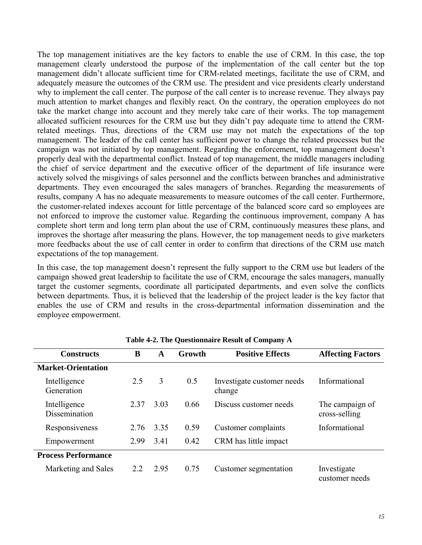The top management initiatives are the key factors to enable the use of CRM. In this case, the top management clearly understood the purpose of the implementation of the call center but the top management didn't allocate sufficient time for CRM-related meetings, facilitate the use of CRM, and adequately measure the outcomes of the CRM use. The president and vice presidents clearly understand why to implement the call center. The purpose of the call center is to increase revenue. They always pay much attention to market changes and flexibly react. On the contrary, the operation employees do not take the market change into account and they merely take care of their works. The top management allocated sufficient resources for the CRM use but they didn't pay adequate time to attend the CRMrelated meetings. Thus, directions of the CRM use may not match the expectations of the top management. The leader of the call center has sufficient power to change the related processes but the campaign was not initiated by top management. Regarding the enforcement, top management doesn't properly deal with the departmental conflict. Instead of top management, the middle managers including the chief of service department and the executive officer of the department of life insurance were actively solved the misgivings of sales personnel and the conflicts between branches and administrative departments. They even encouraged the sales managers of branches. Regarding the measurements of results, company A has no adequate measurements to measure outcomes of the call center. Furthermore, the customer-related indexes account for little percentage of the balanced score card so employees are not enforced to improve the customer value. Regarding the continuous improvement, company A has complete short term and long term plan about the use of CRM, continuously measures these plans, and improves the shortage after measuring the plans. However, the top management needs to give marketers more feedbacks about the use of call center in order to confirm that directions of the CRM use match expectations of the top management.

In this case, the top management doesn't represent the fully support to the CRM use but leaders of the campaign showed great leadership to facilitate the use of CRM, encourage the sales managers, manually target the customer segments, coordinate all participated departments, and even solve the conflicts between departments. Thus, it is believed that the leadership of the project leader is the key factor that enables the use of CRM and results in the cross-departmental information dissemination and the employee empowerment.

| <b>Constructs</b>             | B     | A    | Growth | <b>Positive Effects</b>              | <b>Affecting Factors</b>         |
|-------------------------------|-------|------|--------|--------------------------------------|----------------------------------|
| <b>Market-Orientation</b>     |       |      |        |                                      |                                  |
| Intelligence<br>Generation    | 2.5   | 3    | 0.5    | Investigate customer needs<br>change | Informational                    |
| Intelligence<br>Dissemination | 2 3 7 | 3.03 | 0.66   | Discuss customer needs               | The campaign of<br>cross-selling |
| Responsiveness                | 2.76  | 3.35 | 0.59   | Customer complaints                  | Informational                    |
| Empowerment                   | 2.99  | 3.41 | 0.42   | CRM has little impact                |                                  |
| <b>Process Performance</b>    |       |      |        |                                      |                                  |
| Marketing and Sales           | 2.2   | 2.95 | 0.75   | Customer segmentation                | Investigate<br>customer needs    |

**Table 4-2. The Questionnaire Result of Company A**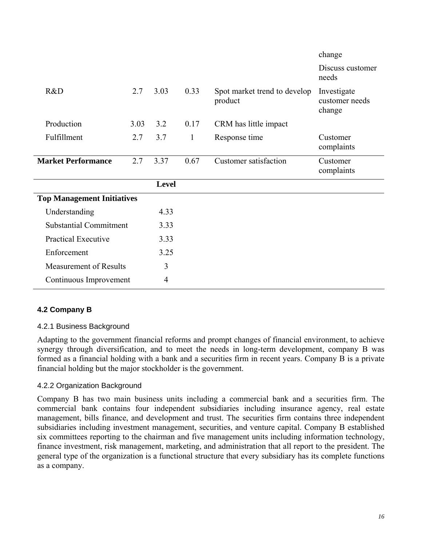|                                   |      |                |              |                                         | change                                  |
|-----------------------------------|------|----------------|--------------|-----------------------------------------|-----------------------------------------|
|                                   |      |                |              |                                         | Discuss customer<br>needs               |
| R&D                               | 2.7  | 3.03           | 0.33         | Spot market trend to develop<br>product | Investigate<br>customer needs<br>change |
| Production                        | 3.03 | 3.2            | 0.17         | CRM has little impact                   |                                         |
| Fulfillment                       | 2.7  | 3.7            | $\mathbf{1}$ | Response time                           | Customer<br>complaints                  |
| <b>Market Performance</b>         | 2.7  | 3.37           | 0.67         | <b>Customer satisfaction</b>            | Customer<br>complaints                  |
|                                   |      | <b>Level</b>   |              |                                         |                                         |
| <b>Top Management Initiatives</b> |      |                |              |                                         |                                         |
| Understanding                     |      | 4.33           |              |                                         |                                         |
| <b>Substantial Commitment</b>     |      | 3.33           |              |                                         |                                         |
| <b>Practical Executive</b>        |      | 3.33           |              |                                         |                                         |
| Enforcement                       |      | 3.25           |              |                                         |                                         |
| <b>Measurement of Results</b>     |      | 3              |              |                                         |                                         |
| Continuous Improvement            |      | $\overline{4}$ |              |                                         |                                         |

## **4.2 Company B**

## 4.2.1 Business Background

Adapting to the government financial reforms and prompt changes of financial environment, to achieve synergy through diversification, and to meet the needs in long-term development, company B was formed as a financial holding with a bank and a securities firm in recent years. Company B is a private financial holding but the major stockholder is the government.

### 4.2.2 Organization Background

Company B has two main business units including a commercial bank and a securities firm. The commercial bank contains four independent subsidiaries including insurance agency, real estate management, bills finance, and development and trust. The securities firm contains three independent subsidiaries including investment management, securities, and venture capital. Company B established six committees reporting to the chairman and five management units including information technology, finance investment, risk management, marketing, and administration that all report to the president. The general type of the organization is a functional structure that every subsidiary has its complete functions as a company.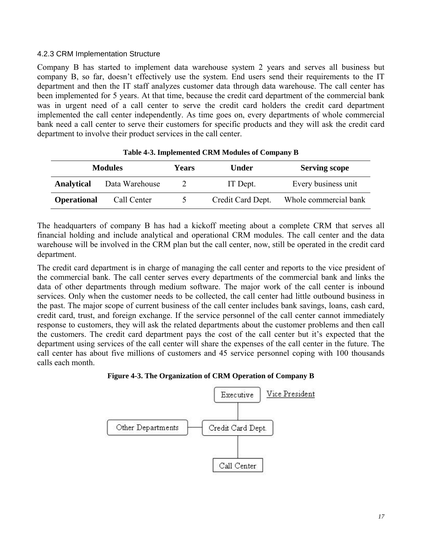### 4.2.3 CRM Implementation Structure

Company B has started to implement data warehouse system 2 years and serves all business but company B, so far, doesn't effectively use the system. End users send their requirements to the IT department and then the IT staff analyzes customer data through data warehouse. The call center has been implemented for 5 years. At that time, because the credit card department of the commercial bank was in urgent need of a call center to serve the credit card holders the credit card department implemented the call center independently. As time goes on, every departments of whole commercial bank need a call center to serve their customers for specific products and they will ask the credit card department to involve their product services in the call center.

|                    | <b>Modules</b> | Years | Under             | <b>Serving scope</b>  |
|--------------------|----------------|-------|-------------------|-----------------------|
| <b>Analytical</b>  | Data Warehouse | 2     | IT Dept.          | Every business unit   |
| <b>Operational</b> | Call Center    |       | Credit Card Dept. | Whole commercial bank |

The headquarters of company B has had a kickoff meeting about a complete CRM that serves all financial holding and include analytical and operational CRM modules. The call center and the data warehouse will be involved in the CRM plan but the call center, now, still be operated in the credit card department.

The credit card department is in charge of managing the call center and reports to the vice president of the commercial bank. The call center serves every departments of the commercial bank and links the data of other departments through medium software. The major work of the call center is inbound services. Only when the customer needs to be collected, the call center had little outbound business in the past. The major scope of current business of the call center includes bank savings, loans, cash card, credit card, trust, and foreign exchange. If the service personnel of the call center cannot immediately response to customers, they will ask the related departments about the customer problems and then call the customers. The credit card department pays the cost of the call center but it's expected that the department using services of the call center will share the expenses of the call center in the future. The call center has about five millions of customers and 45 service personnel coping with 100 thousands calls each month.



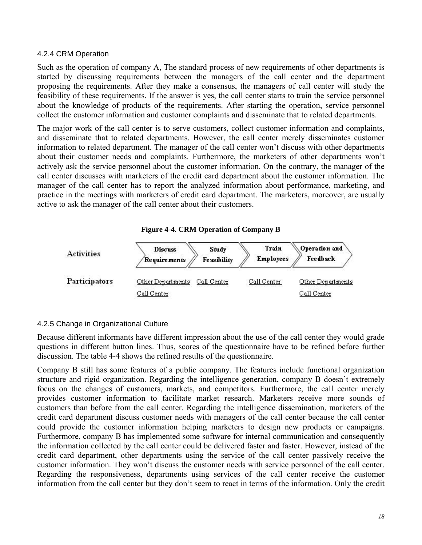### 4.2.4 CRM Operation

Such as the operation of company A, The standard process of new requirements of other departments is started by discussing requirements between the managers of the call center and the department proposing the requirements. After they make a consensus, the managers of call center will study the feasibility of these requirements. If the answer is yes, the call center starts to train the service personnel about the knowledge of products of the requirements. After starting the operation, service personnel collect the customer information and customer complaints and disseminate that to related departments.

The major work of the call center is to serve customers, collect customer information and complaints, and disseminate that to related departments. However, the call center merely disseminates customer information to related department. The manager of the call center won't discuss with other departments about their customer needs and complaints. Furthermore, the marketers of other departments won't actively ask the service personnel about the customer information. On the contrary, the manager of the call center discusses with marketers of the credit card department about the customer information. The manager of the call center has to report the analyzed information about performance, marketing, and practice in the meetings with marketers of credit card department. The marketers, moreover, are usually active to ask the manager of the call center about their customers.

#### **Figure 4-4. CRM Operation of Company B**



### 4.2.5 Change in Organizational Culture

Because different informants have different impression about the use of the call center they would grade questions in different button lines. Thus, scores of the questionnaire have to be refined before further discussion. The table 4-4 shows the refined results of the questionnaire.

Company B still has some features of a public company. The features include functional organization structure and rigid organization. Regarding the intelligence generation, company B doesn't extremely focus on the changes of customers, markets, and competitors. Furthermore, the call center merely provides customer information to facilitate market research. Marketers receive more sounds of customers than before from the call center. Regarding the intelligence dissemination, marketers of the credit card department discuss customer needs with managers of the call center because the call center could provide the customer information helping marketers to design new products or campaigns. Furthermore, company B has implemented some software for internal communication and consequently the information collected by the call center could be delivered faster and faster. However, instead of the credit card department, other departments using the service of the call center passively receive the customer information. They won't discuss the customer needs with service personnel of the call center. Regarding the responsiveness, departments using services of the call center receive the customer information from the call center but they don't seem to react in terms of the information. Only the credit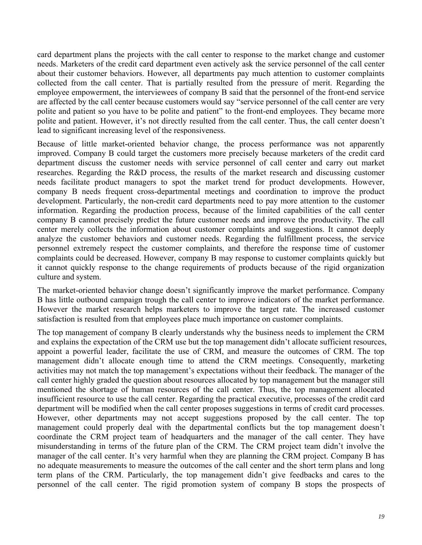card department plans the projects with the call center to response to the market change and customer needs. Marketers of the credit card department even actively ask the service personnel of the call center about their customer behaviors. However, all departments pay much attention to customer complaints collected from the call center. That is partially resulted from the pressure of merit. Regarding the employee empowerment, the interviewees of company B said that the personnel of the front-end service are affected by the call center because customers would say "service personnel of the call center are very polite and patient so you have to be polite and patient" to the front-end employees. They became more polite and patient. However, it's not directly resulted from the call center. Thus, the call center doesn't lead to significant increasing level of the responsiveness.

Because of little market-oriented behavior change, the process performance was not apparently improved. Company B could target the customers more precisely because marketers of the credit card department discuss the customer needs with service personnel of call center and carry out market researches. Regarding the R&D process, the results of the market research and discussing customer needs facilitate product managers to spot the market trend for product developments. However, company B needs frequent cross-departmental meetings and coordination to improve the product development. Particularly, the non-credit card departments need to pay more attention to the customer information. Regarding the production process, because of the limited capabilities of the call center company B cannot precisely predict the future customer needs and improve the productivity. The call center merely collects the information about customer complaints and suggestions. It cannot deeply analyze the customer behaviors and customer needs. Regarding the fulfillment process, the service personnel extremely respect the customer complaints, and therefore the response time of customer complaints could be decreased. However, company B may response to customer complaints quickly but it cannot quickly response to the change requirements of products because of the rigid organization culture and system.

The market-oriented behavior change doesn't significantly improve the market performance. Company B has little outbound campaign trough the call center to improve indicators of the market performance. However the market research helps marketers to improve the target rate. The increased customer satisfaction is resulted from that employees place much importance on customer complaints.

The top management of company B clearly understands why the business needs to implement the CRM and explains the expectation of the CRM use but the top management didn't allocate sufficient resources, appoint a powerful leader, facilitate the use of CRM, and measure the outcomes of CRM. The top management didn't allocate enough time to attend the CRM meetings. Consequently, marketing activities may not match the top management's expectations without their feedback. The manager of the call center highly graded the question about resources allocated by top management but the manager still mentioned the shortage of human resources of the call center. Thus, the top management allocated insufficient resource to use the call center. Regarding the practical executive, processes of the credit card department will be modified when the call center proposes suggestions in terms of credit card processes. However, other departments may not accept suggestions proposed by the call center. The top management could properly deal with the departmental conflicts but the top management doesn't coordinate the CRM project team of headquarters and the manager of the call center. They have misunderstanding in terms of the future plan of the CRM. The CRM project team didn't involve the manager of the call center. It's very harmful when they are planning the CRM project. Company B has no adequate measurements to measure the outcomes of the call center and the short term plans and long term plans of the CRM. Particularly, the top management didn't give feedbacks and cares to the personnel of the call center. The rigid promotion system of company B stops the prospects of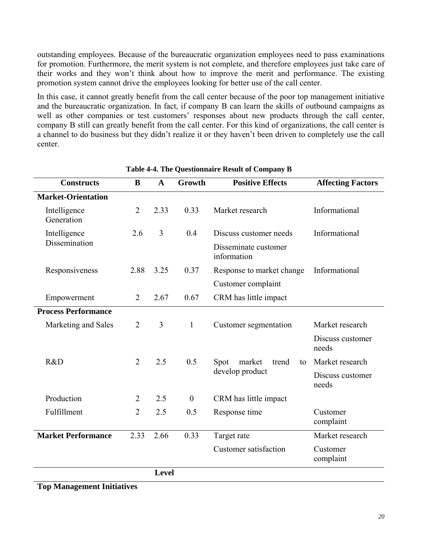outstanding employees. Because of the bureaucratic organization employees need to pass examinations for promotion. Furthermore, the merit system is not complete, and therefore employees just take care of their works and they won't think about how to improve the merit and performance. The existing promotion system cannot drive the employees looking for better use of the call center.

In this case, it cannot greatly benefit from the call center because of the poor top management initiative and the bureaucratic organization. In fact, if company B can learn the skills of outbound campaigns as well as other companies or test customers' responses about new products through the call center, company B still can greatly benefit from the call center. For this kind of organizations, the call center is a channel to do business but they didn't realize it or they haven't been driven to completely use the call center.

| <b>Constructs</b>          | B              | $\mathbf{A}$ | Growth           | <b>Positive Effects</b>             | <b>Affecting Factors</b>  |
|----------------------------|----------------|--------------|------------------|-------------------------------------|---------------------------|
| <b>Market-Orientation</b>  |                |              |                  |                                     |                           |
| Intelligence<br>Generation | $\overline{2}$ | 2.33         | 0.33             | Market research                     | Informational             |
| Intelligence               | 2.6            | 3            | 0.4              | Discuss customer needs              | Informational             |
| Dissemination              |                |              |                  | Disseminate customer<br>information |                           |
| Responsiveness             | 2.88           | 3.25         | 0.37             | Response to market change           | Informational             |
|                            |                |              |                  | Customer complaint                  |                           |
| Empowerment                | $\overline{2}$ | 2.67         | 0.67             | CRM has little impact               |                           |
| <b>Process Performance</b> |                |              |                  |                                     |                           |
| Marketing and Sales        | $\overline{2}$ | 3            | $\mathbf{1}$     | Customer segmentation               | Market research           |
|                            |                |              |                  |                                     | Discuss customer<br>needs |
| R&D                        | $\overline{2}$ | 2.5          | 0.5              | Spot<br>market<br>trend<br>to       | Market research           |
|                            |                |              |                  | develop product                     | Discuss customer<br>needs |
| Production                 | $\overline{2}$ | 2.5          | $\boldsymbol{0}$ | CRM has little impact               |                           |
| Fulfillment                | $\overline{2}$ | 2.5          | 0.5              | Response time                       | Customer<br>complaint     |
| <b>Market Performance</b>  | 2.33           | 2.66         | 0.33             | Target rate                         | Market research           |
|                            |                |              |                  | <b>Customer</b> satisfaction        | Customer<br>complaint     |
|                            |                | Level        |                  |                                     |                           |

**Table 4-4. The Questionnaire Result of Company B** 

**Top Management Initiatives**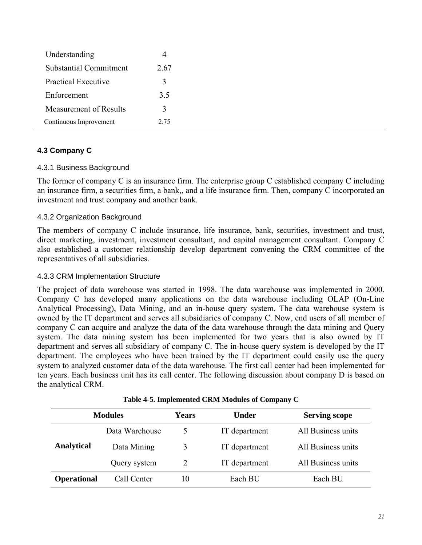| Understanding                 |               |
|-------------------------------|---------------|
| <b>Substantial Commitment</b> | 2.67          |
| <b>Practical Executive</b>    | 3             |
| Enforcement                   | 3.5           |
| Measurement of Results        | $\mathcal{Z}$ |
| Continuous Improvement        | 2.75          |

## **4.3 Company C**

### 4.3.1 Business Background

The former of company C is an insurance firm. The enterprise group C established company C including an insurance firm, a securities firm, a bank,, and a life insurance firm. Then, company C incorporated an investment and trust company and another bank.

### 4.3.2 Organization Background

The members of company C include insurance, life insurance, bank, securities, investment and trust, direct marketing, investment, investment consultant, and capital management consultant. Company C also established a customer relationship develop department convening the CRM committee of the representatives of all subsidiaries.

### 4.3.3 CRM Implementation Structure

The project of data warehouse was started in 1998. The data warehouse was implemented in 2000. Company C has developed many applications on the data warehouse including OLAP (On-Line Analytical Processing), Data Mining, and an in-house query system. The data warehouse system is owned by the IT department and serves all subsidiaries of company C. Now, end users of all member of company C can acquire and analyze the data of the data warehouse through the data mining and Query system. The data mining system has been implemented for two years that is also owned by IT department and serves all subsidiary of company C. The in-house query system is developed by the IT department. The employees who have been trained by the IT department could easily use the query system to analyzed customer data of the data warehouse. The first call center had been implemented for ten years. Each business unit has its call center. The following discussion about company D is based on the analytical CRM.

|                    | <b>Modules</b> | <b>Years</b> | <b>Under</b>  | <b>Serving scope</b> |
|--------------------|----------------|--------------|---------------|----------------------|
|                    | Data Warehouse |              | IT department | All Business units   |
| <b>Analytical</b>  | Data Mining    | 3            | IT department | All Business units   |
|                    | Query system   | 2            | IT department | All Business units   |
| <b>Operational</b> | Call Center    | 10           | Each BU       | Each BU              |

**Table 4-5. Implemented CRM Modules of Company C**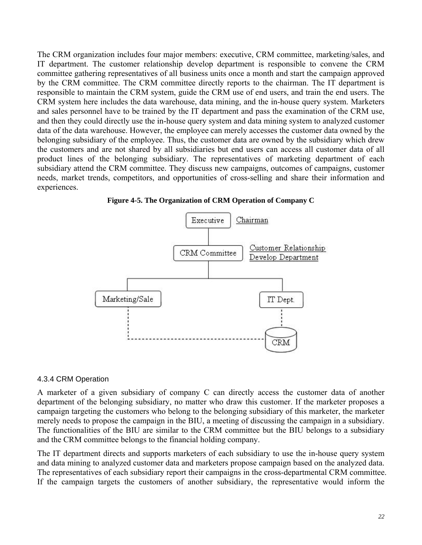The CRM organization includes four major members: executive, CRM committee, marketing/sales, and IT department. The customer relationship develop department is responsible to convene the CRM committee gathering representatives of all business units once a month and start the campaign approved by the CRM committee. The CRM committee directly reports to the chairman. The IT department is responsible to maintain the CRM system, guide the CRM use of end users, and train the end users. The CRM system here includes the data warehouse, data mining, and the in-house query system. Marketers and sales personnel have to be trained by the IT department and pass the examination of the CRM use, and then they could directly use the in-house query system and data mining system to analyzed customer data of the data warehouse. However, the employee can merely accesses the customer data owned by the belonging subsidiary of the employee. Thus, the customer data are owned by the subsidiary which drew the customers and are not shared by all subsidiaries but end users can access all customer data of all product lines of the belonging subsidiary. The representatives of marketing department of each subsidiary attend the CRM committee. They discuss new campaigns, outcomes of campaigns, customer needs, market trends, competitors, and opportunities of cross-selling and share their information and experiences.





### 4.3.4 CRM Operation

A marketer of a given subsidiary of company C can directly access the customer data of another department of the belonging subsidiary, no matter who draw this customer. If the marketer proposes a campaign targeting the customers who belong to the belonging subsidiary of this marketer, the marketer merely needs to propose the campaign in the BIU, a meeting of discussing the campaign in a subsidiary. The functionalities of the BIU are similar to the CRM committee but the BIU belongs to a subsidiary and the CRM committee belongs to the financial holding company.

The IT department directs and supports marketers of each subsidiary to use the in-house query system and data mining to analyzed customer data and marketers propose campaign based on the analyzed data. The representatives of each subsidiary report their campaigns in the cross-departmental CRM committee. If the campaign targets the customers of another subsidiary, the representative would inform the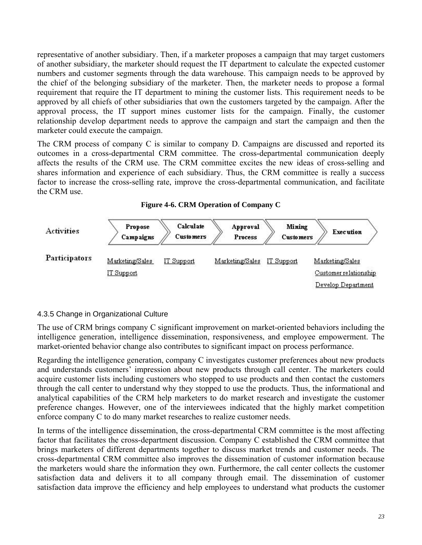representative of another subsidiary. Then, if a marketer proposes a campaign that may target customers of another subsidiary, the marketer should request the IT department to calculate the expected customer numbers and customer segments through the data warehouse. This campaign needs to be approved by the chief of the belonging subsidiary of the marketer. Then, the marketer needs to propose a formal requirement that require the IT department to mining the customer lists. This requirement needs to be approved by all chiefs of other subsidiaries that own the customers targeted by the campaign. After the approval process, the IT support mines customer lists for the campaign. Finally, the customer relationship develop department needs to approve the campaign and start the campaign and then the marketer could execute the campaign.

The CRM process of company C is similar to company D. Campaigns are discussed and reported its outcomes in a cross-departmental CRM committee. The cross-departmental communication deeply affects the results of the CRM use. The CRM committee excites the new ideas of cross-selling and shares information and experience of each subsidiary. Thus, the CRM committee is really a success factor to increase the cross-selling rate, improve the cross-departmental communication, and facilitate the CRM use.





## 4.3.5 Change in Organizational Culture

The use of CRM brings company C significant improvement on market-oriented behaviors including the intelligence generation, intelligence dissemination, responsiveness, and employee empowerment. The market-oriented behavior change also contributes to significant impact on process performance.

Regarding the intelligence generation, company C investigates customer preferences about new products and understands customers' impression about new products through call center. The marketers could acquire customer lists including customers who stopped to use products and then contact the customers through the call center to understand why they stopped to use the products. Thus, the informational and analytical capabilities of the CRM help marketers to do market research and investigate the customer preference changes. However, one of the interviewees indicated that the highly market competition enforce company C to do many market researches to realize customer needs.

In terms of the intelligence dissemination, the cross-departmental CRM committee is the most affecting factor that facilitates the cross-department discussion. Company C established the CRM committee that brings marketers of different departments together to discuss market trends and customer needs. The cross-departmental CRM committee also improves the dissemination of customer information because the marketers would share the information they own. Furthermore, the call center collects the customer satisfaction data and delivers it to all company through email. The dissemination of customer satisfaction data improve the efficiency and help employees to understand what products the customer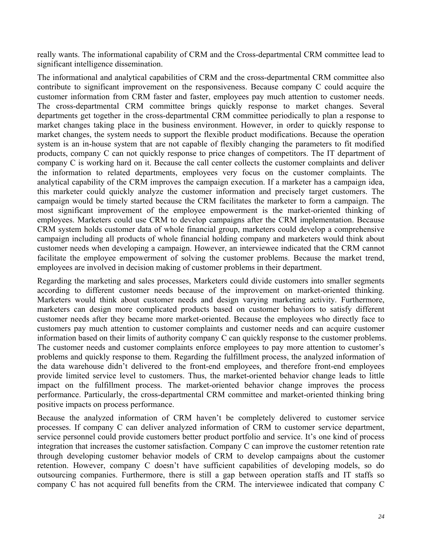really wants. The informational capability of CRM and the Cross-departmental CRM committee lead to significant intelligence dissemination.

The informational and analytical capabilities of CRM and the cross-departmental CRM committee also contribute to significant improvement on the responsiveness. Because company C could acquire the customer information from CRM faster and faster, employees pay much attention to customer needs. The cross-departmental CRM committee brings quickly response to market changes. Several departments get together in the cross-departmental CRM committee periodically to plan a response to market changes taking place in the business environment. However, in order to quickly response to market changes, the system needs to support the flexible product modifications. Because the operation system is an in-house system that are not capable of flexibly changing the parameters to fit modified products, company C can not quickly response to price changes of competitors. The IT department of company C is working hard on it. Because the call center collects the customer complaints and deliver the information to related departments, employees very focus on the customer complaints. The analytical capability of the CRM improves the campaign execution. If a marketer has a campaign idea, this marketer could quickly analyze the customer information and precisely target customers. The campaign would be timely started because the CRM facilitates the marketer to form a campaign. The most significant improvement of the employee empowerment is the market-oriented thinking of employees. Marketers could use CRM to develop campaigns after the CRM implementation. Because CRM system holds customer data of whole financial group, marketers could develop a comprehensive campaign including all products of whole financial holding company and marketers would think about customer needs when developing a campaign. However, an interviewee indicated that the CRM cannot facilitate the employee empowerment of solving the customer problems. Because the market trend, employees are involved in decision making of customer problems in their department.

Regarding the marketing and sales processes, Marketers could divide customers into smaller segments according to different customer needs because of the improvement on market-oriented thinking. Marketers would think about customer needs and design varying marketing activity. Furthermore, marketers can design more complicated products based on customer behaviors to satisfy different customer needs after they became more market-oriented. Because the employees who directly face to customers pay much attention to customer complaints and customer needs and can acquire customer information based on their limits of authority company C can quickly response to the customer problems. The customer needs and customer complaints enforce employees to pay more attention to customer's problems and quickly response to them. Regarding the fulfillment process, the analyzed information of the data warehouse didn't delivered to the front-end employees, and therefore front-end employees provide limited service level to customers. Thus, the market-oriented behavior change leads to little impact on the fulfillment process. The market-oriented behavior change improves the process performance. Particularly, the cross-departmental CRM committee and market-oriented thinking bring positive impacts on process performance.

Because the analyzed information of CRM haven't be completely delivered to customer service processes. If company C can deliver analyzed information of CRM to customer service department, service personnel could provide customers better product portfolio and service. It's one kind of process integration that increases the customer satisfaction. Company C can improve the customer retention rate through developing customer behavior models of CRM to develop campaigns about the customer retention. However, company C doesn't have sufficient capabilities of developing models, so do outsourcing companies. Furthermore, there is still a gap between operation staffs and IT staffs so company C has not acquired full benefits from the CRM. The interviewee indicated that company C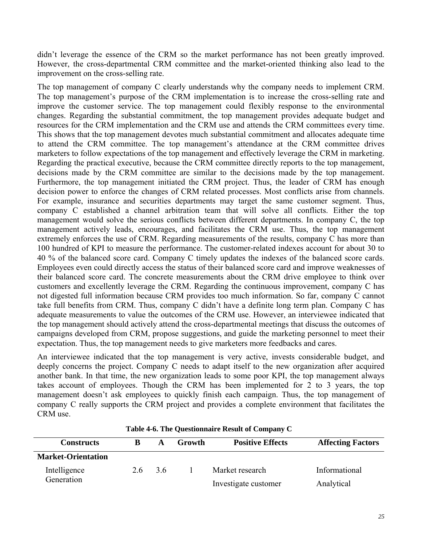didn't leverage the essence of the CRM so the market performance has not been greatly improved. However, the cross-departmental CRM committee and the market-oriented thinking also lead to the improvement on the cross-selling rate.

The top management of company C clearly understands why the company needs to implement CRM. The top management's purpose of the CRM implementation is to increase the cross-selling rate and improve the customer service. The top management could flexibly response to the environmental changes. Regarding the substantial commitment, the top management provides adequate budget and resources for the CRM implementation and the CRM use and attends the CRM committees every time. This shows that the top management devotes much substantial commitment and allocates adequate time to attend the CRM committee. The top management's attendance at the CRM committee drives marketers to follow expectations of the top management and effectively leverage the CRM in marketing. Regarding the practical executive, because the CRM committee directly reports to the top management, decisions made by the CRM committee are similar to the decisions made by the top management. Furthermore, the top management initiated the CRM project. Thus, the leader of CRM has enough decision power to enforce the changes of CRM related processes. Most conflicts arise from channels. For example, insurance and securities departments may target the same customer segment. Thus, company C established a channel arbitration team that will solve all conflicts. Either the top management would solve the serious conflicts between different departments. In company C, the top management actively leads, encourages, and facilitates the CRM use. Thus, the top management extremely enforces the use of CRM. Regarding measurements of the results, company C has more than 100 hundred of KPI to measure the performance. The customer-related indexes account for about 30 to 40 % of the balanced score card. Company C timely updates the indexes of the balanced score cards. Employees even could directly access the status of their balanced score card and improve weaknesses of their balanced score card. The concrete measurements about the CRM drive employee to think over customers and excellently leverage the CRM. Regarding the continuous improvement, company C has not digested full information because CRM provides too much information. So far, company C cannot take full benefits from CRM. Thus, company C didn't have a definite long term plan. Company C has adequate measurements to value the outcomes of the CRM use. However, an interviewee indicated that the top management should actively attend the cross-departmental meetings that discuss the outcomes of campaigns developed from CRM, propose suggestions, and guide the marketing personnel to meet their expectation. Thus, the top management needs to give marketers more feedbacks and cares.

An interviewee indicated that the top management is very active, invests considerable budget, and deeply concerns the project. Company C needs to adapt itself to the new organization after acquired another bank. In that time, the new organization leads to some poor KPI, the top management always takes account of employees. Though the CRM has been implemented for 2 to 3 years, the top management doesn't ask employees to quickly finish each campaign. Thus, the top management of company C really supports the CRM project and provides a complete environment that facilitates the CRM use.

| <b>Constructs</b>         |     | A  | <b>Growth</b> | <b>Positive Effects</b> | <b>Affecting Factors</b> |
|---------------------------|-----|----|---------------|-------------------------|--------------------------|
| <b>Market-Orientation</b> |     |    |               |                         |                          |
| Intelligence              | 2.6 | 36 |               | Market research         | Informational            |
| Generation                |     |    |               | Investigate customer    | Analytical               |

**Table 4-6. The Questionnaire Result of Company C**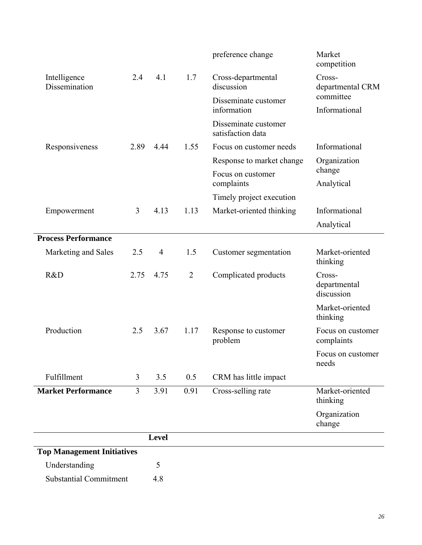|                                   |      |                |                | preference change                         | Market<br>competition                |
|-----------------------------------|------|----------------|----------------|-------------------------------------------|--------------------------------------|
| Intelligence<br>Dissemination     | 2.4  | 4.1            | 1.7            | Cross-departmental<br>discussion          | Cross-<br>departmental CRM           |
|                                   |      |                |                | Disseminate customer                      | committee                            |
|                                   |      |                |                | information                               | Informational                        |
|                                   |      |                |                | Disseminate customer<br>satisfaction data |                                      |
| Responsiveness                    | 2.89 | 4.44           | 1.55           | Focus on customer needs                   | Informational                        |
|                                   |      |                |                | Response to market change                 | Organization                         |
|                                   |      |                |                | Focus on customer<br>complaints           | change<br>Analytical                 |
|                                   |      |                |                | Timely project execution                  |                                      |
| Empowerment                       | 3    | 4.13           | 1.13           | Market-oriented thinking                  | Informational                        |
|                                   |      |                |                |                                           | Analytical                           |
| <b>Process Performance</b>        |      |                |                |                                           |                                      |
| Marketing and Sales               | 2.5  | $\overline{4}$ | 1.5            | Customer segmentation                     | Market-oriented<br>thinking          |
| R&D                               | 2.75 | 4.75           | $\overline{2}$ | Complicated products                      | Cross-<br>departmental<br>discussion |
|                                   |      |                |                |                                           | Market-oriented<br>thinking          |
| Production                        | 2.5  | 3.67           | 1.17           | Response to customer<br>problem           | Focus on customer<br>complaints      |
|                                   |      |                |                |                                           | Focus on customer<br>needs           |
| Fulfillment                       | 3    | 3.5            | 0.5            | CRM has little impact                     |                                      |
| <b>Market Performance</b>         | 3    | 3.91           | 0.91           | Cross-selling rate                        | Market-oriented<br>thinking          |
|                                   |      |                |                |                                           | Organization<br>change               |
|                                   |      | <b>Level</b>   |                |                                           |                                      |
| <b>Top Management Initiatives</b> |      |                |                |                                           |                                      |
| Understanding                     |      | 5              |                |                                           |                                      |
| <b>Substantial Commitment</b>     |      | 4.8            |                |                                           |                                      |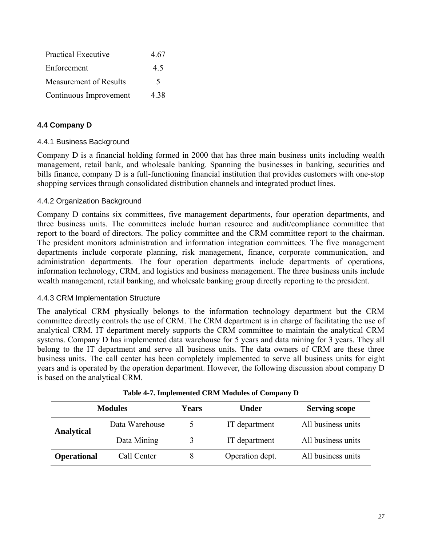| <b>Practical Executive</b> | 4.67 |
|----------------------------|------|
| Enforcement                | 4.5  |
| Measurement of Results     | 5.   |
| Continuous Improvement     | 4.38 |

## **4.4 Company D**

### 4.4.1 Business Background

Company D is a financial holding formed in 2000 that has three main business units including wealth management, retail bank, and wholesale banking. Spanning the businesses in banking, securities and bills finance, company D is a full-functioning financial institution that provides customers with one-stop shopping services through consolidated distribution channels and integrated product lines.

### 4.4.2 Organization Background

Company D contains six committees, five management departments, four operation departments, and three business units. The committees include human resource and audit/compliance committee that report to the board of directors. The policy committee and the CRM committee report to the chairman. The president monitors administration and information integration committees. The five management departments include corporate planning, risk management, finance, corporate communication, and administration departments. The four operation departments include departments of operations, information technology, CRM, and logistics and business management. The three business units include wealth management, retail banking, and wholesale banking group directly reporting to the president.

### 4.4.3 CRM Implementation Structure

The analytical CRM physically belongs to the information technology department but the CRM committee directly controls the use of CRM. The CRM department is in charge of facilitating the use of analytical CRM. IT department merely supports the CRM committee to maintain the analytical CRM systems. Company D has implemented data warehouse for 5 years and data mining for 3 years. They all belong to the IT department and serve all business units. The data owners of CRM are these three business units. The call center has been completely implemented to serve all business units for eight years and is operated by the operation department. However, the following discussion about company D is based on the analytical CRM.

|                    | <b>Modules</b> | Years | Under           | <b>Serving scope</b> |
|--------------------|----------------|-------|-----------------|----------------------|
| Analytical         | Data Warehouse |       | IT department   | All business units   |
|                    | Data Mining    |       | IT department   | All business units   |
| <b>Operational</b> | Call Center    |       | Operation dept. | All business units   |

| Table 4-7. Implemented CRM Modules of Company D |  |  |  |  |
|-------------------------------------------------|--|--|--|--|
|                                                 |  |  |  |  |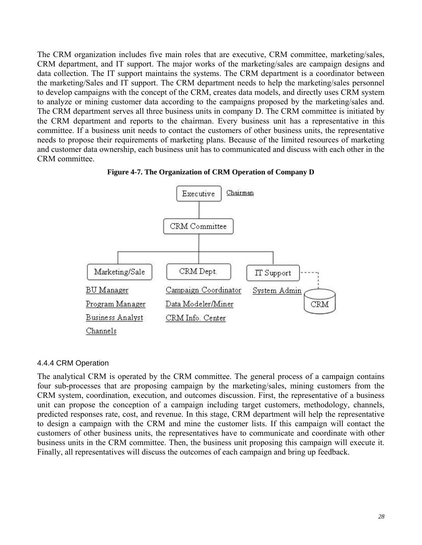The CRM organization includes five main roles that are executive, CRM committee, marketing/sales, CRM department, and IT support. The major works of the marketing/sales are campaign designs and data collection. The IT support maintains the systems. The CRM department is a coordinator between the marketing/Sales and IT support. The CRM department needs to help the marketing/sales personnel to develop campaigns with the concept of the CRM, creates data models, and directly uses CRM system to analyze or mining customer data according to the campaigns proposed by the marketing/sales and. The CRM department serves all three business units in company D. The CRM committee is initiated by the CRM department and reports to the chairman. Every business unit has a representative in this committee. If a business unit needs to contact the customers of other business units, the representative needs to propose their requirements of marketing plans. Because of the limited resources of marketing and customer data ownership, each business unit has to communicated and discuss with each other in the CRM committee.



**Figure 4-7. The Organization of CRM Operation of Company D** 

### 4.4.4 CRM Operation

The analytical CRM is operated by the CRM committee. The general process of a campaign contains four sub-processes that are proposing campaign by the marketing/sales, mining customers from the CRM system, coordination, execution, and outcomes discussion. First, the representative of a business unit can propose the conception of a campaign including target customers, methodology, channels, predicted responses rate, cost, and revenue. In this stage, CRM department will help the representative to design a campaign with the CRM and mine the customer lists. If this campaign will contact the customers of other business units, the representatives have to communicate and coordinate with other business units in the CRM committee. Then, the business unit proposing this campaign will execute it. Finally, all representatives will discuss the outcomes of each campaign and bring up feedback.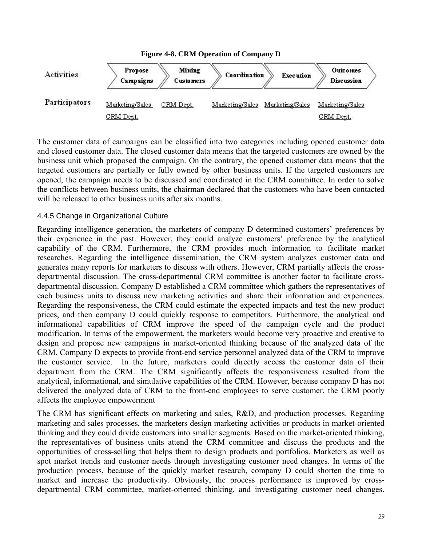

The customer data of campaigns can be classified into two categories including opened customer data and closed customer data. The closed customer data means that the targeted customers are owned by the business unit which proposed the campaign. On the contrary, the opened customer data means that the targeted customers are partially or fully owned by other business units. If the targeted customers are opened, the campaign needs to be discussed and coordinated in the CRM committee. In order to solve the conflicts between business units, the chairman declared that the customers who have been contacted will be released to other business units after six months.

## 4.4.5 Change in Organizational Culture

Regarding intelligence generation, the marketers of company D determined customers' preferences by their experience in the past. However, they could analyze customers' preference by the analytical capability of the CRM. Furthermore, the CRM provides much information to facilitate market researches. Regarding the intelligence dissemination, the CRM system analyzes customer data and generates many reports for marketers to discuss with others. However, CRM partially affects the crossdepartmental discussion. The cross-departmental CRM committee is another factor to facilitate crossdepartmental discussion. Company D established a CRM committee which gathers the representatives of each business units to discuss new marketing activities and share their information and experiences. Regarding the responsiveness, the CRM could estimate the expected impacts and test the new product prices, and then company D could quickly response to competitors. Furthermore, the analytical and informational capabilities of CRM improve the speed of the campaign cycle and the product modification. In terms of the empowerment, the marketers would become very proactive and creative to design and propose new campaigns in market-oriented thinking because of the analyzed data of the CRM. Company D expects to provide front-end service personnel analyzed data of the CRM to improve the customer service. In the future, marketers could directly access the customer data of their department from the CRM. The CRM significantly affects the responsiveness resulted from the analytical, informational, and simulative capabilities of the CRM. However, because company D has not delivered the analyzed data of CRM to the front-end employees to serve customer, the CRM poorly affects the employee empowerment

The CRM has significant effects on marketing and sales, R&D, and production processes. Regarding marketing and sales processes, the marketers design marketing activities or products in market-oriented thinking and they could divide customers into smaller segments. Based on the market-oriented thinking, the representatives of business units attend the CRM committee and discuss the products and the opportunities of cross-selling that helps them to design products and portfolios. Marketers as well as spot market trends and customer needs through investigating customer need changes. In terms of the production process, because of the quickly market research, company D could shorten the time to market and increase the productivity. Obviously, the process performance is improved by crossdepartmental CRM committee, market-oriented thinking, and investigating customer need changes.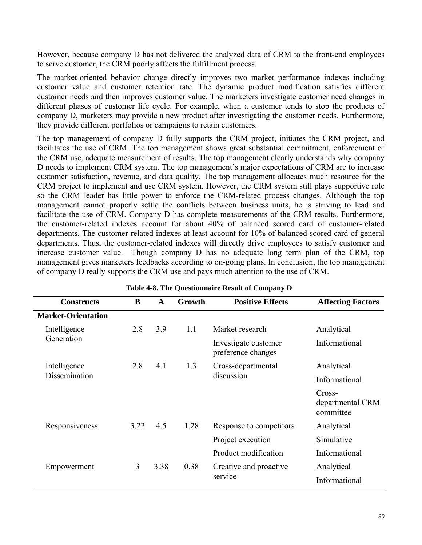However, because company D has not delivered the analyzed data of CRM to the front-end employees to serve customer, the CRM poorly affects the fulfillment process.

The market-oriented behavior change directly improves two market performance indexes including customer value and customer retention rate. The dynamic product modification satisfies different customer needs and then improves customer value. The marketers investigate customer need changes in different phases of customer life cycle. For example, when a customer tends to stop the products of company D, marketers may provide a new product after investigating the customer needs. Furthermore, they provide different portfolios or campaigns to retain customers.

The top management of company D fully supports the CRM project, initiates the CRM project, and facilitates the use of CRM. The top management shows great substantial commitment, enforcement of the CRM use, adequate measurement of results. The top management clearly understands why company D needs to implement CRM system. The top management's major expectations of CRM are to increase customer satisfaction, revenue, and data quality. The top management allocates much resource for the CRM project to implement and use CRM system. However, the CRM system still plays supportive role so the CRM leader has little power to enforce the CRM-related process changes. Although the top management cannot properly settle the conflicts between business units, he is striving to lead and facilitate the use of CRM. Company D has complete measurements of the CRM results. Furthermore, the customer-related indexes account for about 40% of balanced scored card of customer-related departments. The customer-related indexes at least account for 10% of balanced scored card of general departments. Thus, the customer-related indexes will directly drive employees to satisfy customer and increase customer value. Though company D has no adequate long term plan of the CRM, top management gives marketers feedbacks according to on-going plans. In conclusion, the top management of company D really supports the CRM use and pays much attention to the use of CRM.

| <b>Constructs</b>         | B         | A   | Growth | <b>Positive Effects</b>                    | <b>Affecting Factors</b>                |
|---------------------------|-----------|-----|--------|--------------------------------------------|-----------------------------------------|
| <b>Market-Orientation</b> |           |     |        |                                            |                                         |
| Intelligence              | 2.8       | 3.9 | 1.1    | Market research                            | Analytical                              |
| Generation                |           |     |        | Investigate customer<br>preference changes | Informational                           |
| Intelligence              | 2.8       | 4.1 | 1.3    | Cross-departmental                         | Analytical                              |
| Dissemination             |           |     |        | discussion                                 | Informational                           |
|                           |           |     |        |                                            | Cross-<br>departmental CRM<br>committee |
| Responsiveness            | 3.22      | 4.5 | 1.28   | Response to competitors                    | Analytical                              |
|                           |           |     |        | Project execution                          | Simulative                              |
|                           |           |     |        | Product modification                       | Informational                           |
| Empowerment               | 3<br>3.38 |     | 0.38   | Creative and proactive                     | Analytical                              |
|                           |           |     |        | service                                    | Informational                           |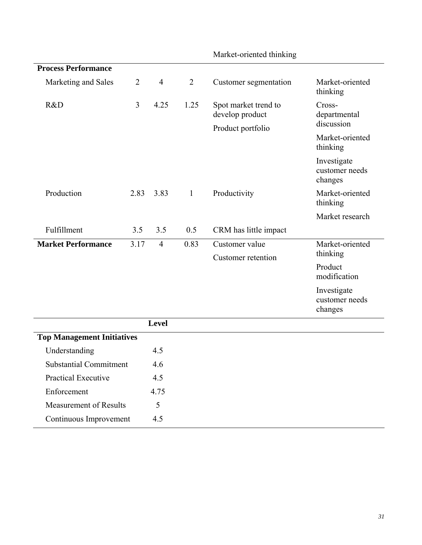|                                   |                |                |                | <b>MARCI-OFFICITION INTIALITY</b>       |                                          |  |
|-----------------------------------|----------------|----------------|----------------|-----------------------------------------|------------------------------------------|--|
| <b>Process Performance</b>        |                |                |                |                                         |                                          |  |
| Marketing and Sales               | $\overline{2}$ | $\overline{4}$ | $\overline{2}$ | Customer segmentation                   | Market-oriented<br>thinking              |  |
| R&D                               | 3              | 4.25           | 1.25           | Spot market trend to<br>develop product | Cross-<br>departmental<br>discussion     |  |
|                                   |                |                |                | Product portfolio                       |                                          |  |
|                                   |                |                |                |                                         | Market-oriented<br>thinking              |  |
|                                   |                |                |                |                                         | Investigate<br>customer needs<br>changes |  |
| Production                        | 2.83           | 3.83           | $\mathbf{1}$   | Productivity                            | Market-oriented<br>thinking              |  |
|                                   |                |                |                |                                         | Market research                          |  |
| Fulfillment                       | 3.5            | 3.5            | 0.5            | CRM has little impact                   |                                          |  |
| <b>Market Performance</b>         | 3.17           | $\overline{4}$ | 0.83           | Customer value                          | Market-oriented                          |  |
|                                   |                |                |                | <b>Customer</b> retention               | thinking                                 |  |
|                                   |                |                |                |                                         | Product<br>modification                  |  |
|                                   |                |                |                |                                         | Investigate<br>customer needs<br>changes |  |
|                                   |                | <b>Level</b>   |                |                                         |                                          |  |
| <b>Top Management Initiatives</b> |                |                |                |                                         |                                          |  |
| Understanding                     |                | 4.5            |                |                                         |                                          |  |
| <b>Substantial Commitment</b>     |                | 4.6            |                |                                         |                                          |  |
| <b>Practical Executive</b>        |                | 4.5            |                |                                         |                                          |  |
| Enforcement                       |                | 4.75           |                |                                         |                                          |  |
| <b>Measurement of Results</b>     |                | 5              |                |                                         |                                          |  |
| Continuous Improvement            |                | 4.5            |                |                                         |                                          |  |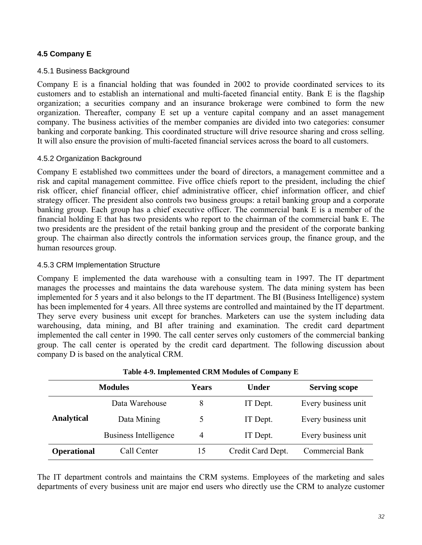## **4.5 Company E**

### 4.5.1 Business Background

Company E is a financial holding that was founded in 2002 to provide coordinated services to its customers and to establish an international and multi-faceted financial entity. Bank E is the flagship organization; a securities company and an insurance brokerage were combined to form the new organization. Thereafter, company E set up a venture capital company and an asset management company. The business activities of the member companies are divided into two categories: consumer banking and corporate banking. This coordinated structure will drive resource sharing and cross selling. It will also ensure the provision of multi-faceted financial services across the board to all customers.

### 4.5.2 Organization Background

Company E established two committees under the board of directors, a management committee and a risk and capital management committee. Five office chiefs report to the president, including the chief risk officer, chief financial officer, chief administrative officer, chief information officer, and chief strategy officer. The president also controls two business groups: a retail banking group and a corporate banking group. Each group has a chief executive officer. The commercial bank E is a member of the financial holding E that has two presidents who report to the chairman of the commercial bank E. The two presidents are the president of the retail banking group and the president of the corporate banking group. The chairman also directly controls the information services group, the finance group, and the human resources group.

### 4.5.3 CRM Implementation Structure

Company E implemented the data warehouse with a consulting team in 1997. The IT department manages the processes and maintains the data warehouse system. The data mining system has been implemented for 5 years and it also belongs to the IT department. The BI (Business Intelligence) system has been implemented for 4 years. All three systems are controlled and maintained by the IT department. They serve every business unit except for branches. Marketers can use the system including data warehousing, data mining, and BI after training and examination. The credit card department implemented the call center in 1990. The call center serves only customers of the commercial banking group. The call center is operated by the credit card department. The following discussion about company D is based on the analytical CRM.

| <b>Modules</b>     |                              | <b>Years</b> | <b>Under</b>      | <b>Serving scope</b>   |  |
|--------------------|------------------------------|--------------|-------------------|------------------------|--|
|                    | Data Warehouse               |              | IT Dept.          | Every business unit    |  |
| <b>Analytical</b>  | Data Mining                  |              | IT Dept.          | Every business unit    |  |
|                    | <b>Business Intelligence</b> | 4            | IT Dept.          | Every business unit    |  |
| <b>Operational</b> | Call Center                  | 15           | Credit Card Dept. | <b>Commercial Bank</b> |  |

**Table 4-9. Implemented CRM Modules of Company E**

The IT department controls and maintains the CRM systems. Employees of the marketing and sales departments of every business unit are major end users who directly use the CRM to analyze customer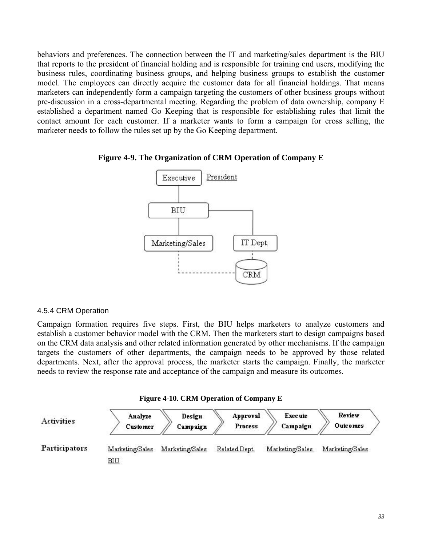behaviors and preferences. The connection between the IT and marketing/sales department is the BIU that reports to the president of financial holding and is responsible for training end users, modifying the business rules, coordinating business groups, and helping business groups to establish the customer model. The employees can directly acquire the customer data for all financial holdings. That means marketers can independently form a campaign targeting the customers of other business groups without pre-discussion in a cross-departmental meeting. Regarding the problem of data ownership, company E established a department named Go Keeping that is responsible for establishing rules that limit the contact amount for each customer. If a marketer wants to form a campaign for cross selling, the marketer needs to follow the rules set up by the Go Keeping department.





### 4.5.4 CRM Operation

Campaign formation requires five steps. First, the BIU helps marketers to analyze customers and establish a customer behavior model with the CRM. Then the marketers start to design campaigns based on the CRM data analysis and other related information generated by other mechanisms. If the campaign targets the customers of other departments, the campaign needs to be approved by those related departments. Next, after the approval process, the marketer starts the campaign. Finally, the marketer needs to review the response rate and acceptance of the campaign and measure its outcomes.

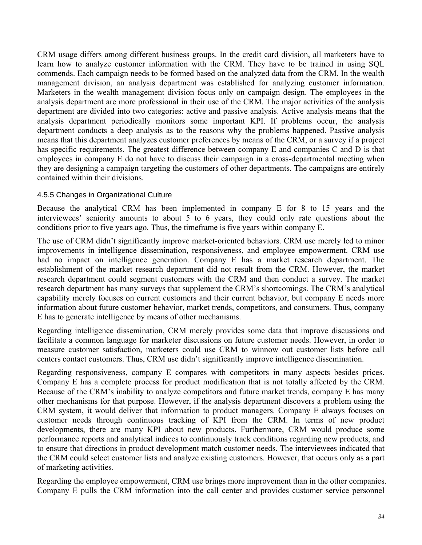CRM usage differs among different business groups. In the credit card division, all marketers have to learn how to analyze customer information with the CRM. They have to be trained in using SQL commends. Each campaign needs to be formed based on the analyzed data from the CRM. In the wealth management division, an analysis department was established for analyzing customer information. Marketers in the wealth management division focus only on campaign design. The employees in the analysis department are more professional in their use of the CRM. The major activities of the analysis department are divided into two categories: active and passive analysis. Active analysis means that the analysis department periodically monitors some important KPI. If problems occur, the analysis department conducts a deep analysis as to the reasons why the problems happened. Passive analysis means that this department analyzes customer preferences by means of the CRM, or a survey if a project has specific requirements. The greatest difference between company E and companies C and D is that employees in company E do not have to discuss their campaign in a cross-departmental meeting when they are designing a campaign targeting the customers of other departments. The campaigns are entirely contained within their divisions.

# 4.5.5 Changes in Organizational Culture

Because the analytical CRM has been implemented in company E for 8 to 15 years and the interviewees' seniority amounts to about 5 to 6 years, they could only rate questions about the conditions prior to five years ago. Thus, the timeframe is five years within company E.

The use of CRM didn't significantly improve market-oriented behaviors. CRM use merely led to minor improvements in intelligence dissemination, responsiveness, and employee empowerment. CRM use had no impact on intelligence generation. Company E has a market research department. The establishment of the market research department did not result from the CRM. However, the market research department could segment customers with the CRM and then conduct a survey. The market research department has many surveys that supplement the CRM's shortcomings. The CRM's analytical capability merely focuses on current customers and their current behavior, but company E needs more information about future customer behavior, market trends, competitors, and consumers. Thus, company E has to generate intelligence by means of other mechanisms.

Regarding intelligence dissemination, CRM merely provides some data that improve discussions and facilitate a common language for marketer discussions on future customer needs. However, in order to measure customer satisfaction, marketers could use CRM to winnow out customer lists before call centers contact customers. Thus, CRM use didn't significantly improve intelligence dissemination.

Regarding responsiveness, company E compares with competitors in many aspects besides prices. Company E has a complete process for product modification that is not totally affected by the CRM. Because of the CRM's inability to analyze competitors and future market trends, company E has many other mechanisms for that purpose. However, if the analysis department discovers a problem using the CRM system, it would deliver that information to product managers. Company E always focuses on customer needs through continuous tracking of KPI from the CRM. In terms of new product developments, there are many KPI about new products. Furthermore, CRM would produce some performance reports and analytical indices to continuously track conditions regarding new products, and to ensure that directions in product development match customer needs. The interviewees indicated that the CRM could select customer lists and analyze existing customers. However, that occurs only as a part of marketing activities.

Regarding the employee empowerment, CRM use brings more improvement than in the other companies. Company E pulls the CRM information into the call center and provides customer service personnel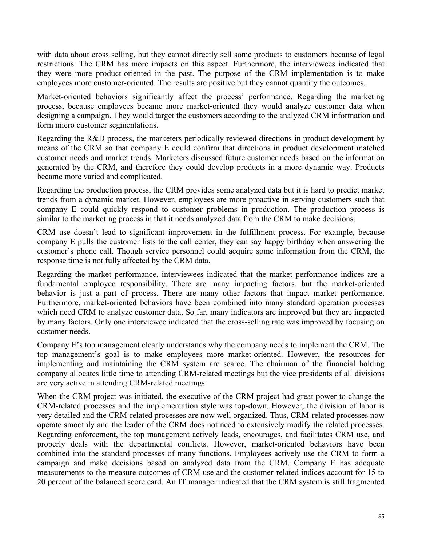with data about cross selling, but they cannot directly sell some products to customers because of legal restrictions. The CRM has more impacts on this aspect. Furthermore, the interviewees indicated that they were more product-oriented in the past. The purpose of the CRM implementation is to make employees more customer-oriented. The results are positive but they cannot quantify the outcomes.

Market-oriented behaviors significantly affect the process' performance. Regarding the marketing process, because employees became more market-oriented they would analyze customer data when designing a campaign. They would target the customers according to the analyzed CRM information and form micro customer segmentations.

Regarding the R&D process, the marketers periodically reviewed directions in product development by means of the CRM so that company E could confirm that directions in product development matched customer needs and market trends. Marketers discussed future customer needs based on the information generated by the CRM, and therefore they could develop products in a more dynamic way. Products became more varied and complicated.

Regarding the production process, the CRM provides some analyzed data but it is hard to predict market trends from a dynamic market. However, employees are more proactive in serving customers such that company E could quickly respond to customer problems in production. The production process is similar to the marketing process in that it needs analyzed data from the CRM to make decisions.

CRM use doesn't lead to significant improvement in the fulfillment process. For example, because company E pulls the customer lists to the call center, they can say happy birthday when answering the customer's phone call. Though service personnel could acquire some information from the CRM, the response time is not fully affected by the CRM data.

Regarding the market performance, interviewees indicated that the market performance indices are a fundamental employee responsibility. There are many impacting factors, but the market-oriented behavior is just a part of process. There are many other factors that impact market performance. Furthermore, market-oriented behaviors have been combined into many standard operation processes which need CRM to analyze customer data. So far, many indicators are improved but they are impacted by many factors. Only one interviewee indicated that the cross-selling rate was improved by focusing on customer needs.

Company E's top management clearly understands why the company needs to implement the CRM. The top management's goal is to make employees more market-oriented. However, the resources for implementing and maintaining the CRM system are scarce. The chairman of the financial holding company allocates little time to attending CRM-related meetings but the vice presidents of all divisions are very active in attending CRM-related meetings.

When the CRM project was initiated, the executive of the CRM project had great power to change the CRM-related processes and the implementation style was top-down. However, the division of labor is very detailed and the CRM-related processes are now well organized. Thus, CRM-related processes now operate smoothly and the leader of the CRM does not need to extensively modify the related processes. Regarding enforcement, the top management actively leads, encourages, and facilitates CRM use, and properly deals with the departmental conflicts. However, market-oriented behaviors have been combined into the standard processes of many functions. Employees actively use the CRM to form a campaign and make decisions based on analyzed data from the CRM. Company E has adequate measurements to the measure outcomes of CRM use and the customer-related indices account for 15 to 20 percent of the balanced score card. An IT manager indicated that the CRM system is still fragmented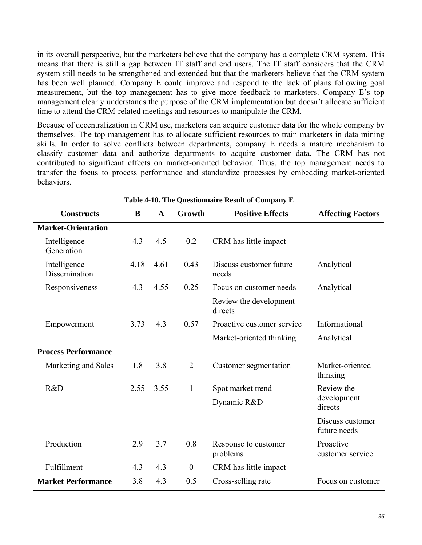in its overall perspective, but the marketers believe that the company has a complete CRM system. This means that there is still a gap between IT staff and end users. The IT staff considers that the CRM system still needs to be strengthened and extended but that the marketers believe that the CRM system has been well planned. Company E could improve and respond to the lack of plans following goal measurement, but the top management has to give more feedback to marketers. Company E's top management clearly understands the purpose of the CRM implementation but doesn't allocate sufficient time to attend the CRM-related meetings and resources to manipulate the CRM.

Because of decentralization in CRM use, marketers can acquire customer data for the whole company by themselves. The top management has to allocate sufficient resources to train marketers in data mining skills. In order to solve conflicts between departments, company E needs a mature mechanism to classify customer data and authorize departments to acquire customer data. The CRM has not contributed to significant effects on market-oriented behavior. Thus, the top management needs to transfer the focus to process performance and standardize processes by embedding market-oriented behaviors.

| <b>Constructs</b>             | B    | $\mathbf{A}$ | Growth           | <b>Positive Effects</b>           | <b>Affecting Factors</b>         |
|-------------------------------|------|--------------|------------------|-----------------------------------|----------------------------------|
| <b>Market-Orientation</b>     |      |              |                  |                                   |                                  |
| Intelligence<br>Generation    | 4.3  | 4.5          | 0.2              | CRM has little impact             |                                  |
| Intelligence<br>Dissemination | 4.18 | 4.61         | 0.43             | Discuss customer future<br>needs  | Analytical                       |
| Responsiveness                | 4.3  | 4.55         | 0.25             | Focus on customer needs           | Analytical                       |
|                               |      |              |                  | Review the development<br>directs |                                  |
| Empowerment                   | 3.73 | 4.3          | 0.57             | Proactive customer service        | Informational                    |
|                               |      |              |                  | Market-oriented thinking          | Analytical                       |
| <b>Process Performance</b>    |      |              |                  |                                   |                                  |
| Marketing and Sales           | 1.8  | 3.8          | $\overline{2}$   | Customer segmentation             | Market-oriented<br>thinking      |
| R&D                           | 2.55 | 3.55         | 1                | Spot market trend                 | Review the                       |
|                               |      |              |                  | Dynamic R&D                       | development<br>directs           |
|                               |      |              |                  |                                   | Discuss customer<br>future needs |
| Production                    | 2.9  | 3.7          | 0.8              | Response to customer<br>problems  | Proactive<br>customer service    |
| Fulfillment                   | 4.3  | 4.3          | $\boldsymbol{0}$ | CRM has little impact             |                                  |
| <b>Market Performance</b>     | 3.8  | 4.3          | 0.5              | Cross-selling rate                | Focus on customer                |

**Table 4-10. The Questionnaire Result of Company E**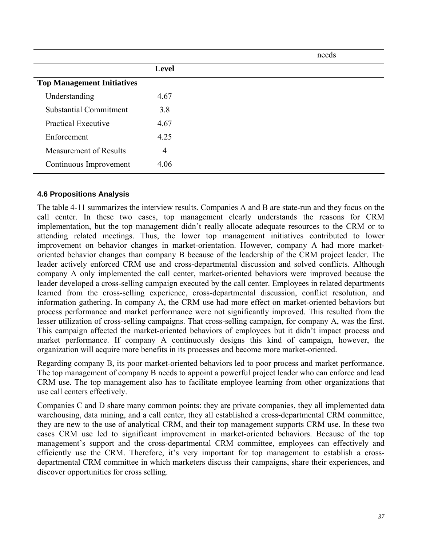|                                   |                | needs |
|-----------------------------------|----------------|-------|
|                                   | <b>Level</b>   |       |
| <b>Top Management Initiatives</b> |                |       |
| Understanding                     | 4.67           |       |
| <b>Substantial Commitment</b>     | 3.8            |       |
| <b>Practical Executive</b>        | 4.67           |       |
| Enforcement                       | 4.25           |       |
| <b>Measurement of Results</b>     | $\overline{4}$ |       |
| Continuous Improvement            | 4.06           |       |

### **4.6 Propositions Analysis**

The table 4-11 summarizes the interview results. Companies A and B are state-run and they focus on the call center. In these two cases, top management clearly understands the reasons for CRM implementation, but the top management didn't really allocate adequate resources to the CRM or to attending related meetings. Thus, the lower top management initiatives contributed to lower improvement on behavior changes in market-orientation. However, company A had more marketoriented behavior changes than company B because of the leadership of the CRM project leader. The leader actively enforced CRM use and cross-departmental discussion and solved conflicts. Although company A only implemented the call center, market-oriented behaviors were improved because the leader developed a cross-selling campaign executed by the call center. Employees in related departments learned from the cross-selling experience, cross-departmental discussion, conflict resolution, and information gathering. In company A, the CRM use had more effect on market-oriented behaviors but process performance and market performance were not significantly improved. This resulted from the lesser utilization of cross-selling campaigns. That cross-selling campaign, for company A, was the first. This campaign affected the market-oriented behaviors of employees but it didn't impact process and market performance. If company A continuously designs this kind of campaign, however, the organization will acquire more benefits in its processes and become more market-oriented.

Regarding company B, its poor market-oriented behaviors led to poor process and market performance. The top management of company B needs to appoint a powerful project leader who can enforce and lead CRM use. The top management also has to facilitate employee learning from other organizations that use call centers effectively.

Companies C and D share many common points: they are private companies, they all implemented data warehousing, data mining, and a call center, they all established a cross-departmental CRM committee, they are new to the use of analytical CRM, and their top management supports CRM use. In these two cases CRM use led to significant improvement in market-oriented behaviors. Because of the top management's support and the cross-departmental CRM committee, employees can effectively and efficiently use the CRM. Therefore, it's very important for top management to establish a crossdepartmental CRM committee in which marketers discuss their campaigns, share their experiences, and discover opportunities for cross selling.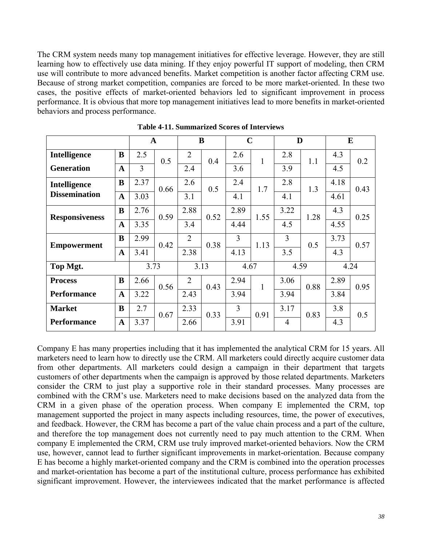The CRM system needs many top management initiatives for effective leverage. However, they are still learning how to effectively use data mining. If they enjoy powerful IT support of modeling, then CRM use will contribute to more advanced benefits. Market competition is another factor affecting CRM use. Because of strong market competition, companies are forced to be more market-oriented. In these two cases, the positive effects of market-oriented behaviors led to significant improvement in process performance. It is obvious that more top management initiatives lead to more benefits in market-oriented behaviors and process performance.

|                       |              | $\mathbf{A}$   |      |                | B    | $\mathbf C$    |              | D              |      |      | E    |
|-----------------------|--------------|----------------|------|----------------|------|----------------|--------------|----------------|------|------|------|
| Intelligence          | B            | 2.5            | 0.5  | $\overline{2}$ | 0.4  | 2.6            | 1            | 2.8            | 1.1  | 4.3  | 0.2  |
| <b>Generation</b>     | $\mathbf{A}$ | $\overline{3}$ |      | 2.4            |      | 3.6            |              | 3.9            |      | 4.5  |      |
| Intelligence          | B            | 2.37           | 0.66 | 2.6            | 0.5  | 2.4            | 1.7          | 2.8            | 1.3  | 4.18 | 0.43 |
| <b>Dissemination</b>  | $\mathbf{A}$ | 3.03           |      | 3.1            |      | 4.1            |              | 4.1            |      | 4.61 |      |
| <b>Responsiveness</b> | B            | 2.76           | 0.59 | 2.88           | 0.52 | 2.89           | 1.55         | 3.22           | 1.28 | 4.3  | 0.25 |
|                       | $\mathbf{A}$ | 3.35           |      | 3.4            |      | 4.44           |              | 4.5            |      | 4.55 |      |
| <b>Empowerment</b>    | B            | 2.99           | 0.42 | $\overline{2}$ | 0.38 | $\overline{3}$ | 1.13         | $\overline{3}$ | 0.5  | 3.73 | 0.57 |
|                       | $\mathbf A$  | 3.41           |      | 2.38           |      | 4.13           |              | 3.5            |      | 4.3  |      |
| Top Mgt.              |              | 3.73           |      | 3.13           |      | 4.67           |              | 4.59           |      | 4.24 |      |
| <b>Process</b>        | $\bf{B}$     | 2.66           | 0.56 | $\overline{2}$ | 0.43 | 2.94           | $\mathbf{1}$ | 3.06           | 0.88 | 2.89 | 0.95 |
| <b>Performance</b>    | $\mathbf{A}$ | 3.22           |      | 2.43           |      | 3.94           |              | 3.94           |      | 3.84 |      |
| <b>Market</b>         | B            | 2.7            | 0.67 | 2.33           | 0.33 | $\overline{3}$ | 0.91         | 3.17           | 0.83 | 3.8  | 0.5  |
| <b>Performance</b>    | $\mathbf{A}$ | 3.37           |      | 2.66           |      | 3.91           |              | $\overline{4}$ |      | 4.3  |      |

**Table 4-11. Summarized Scores of Interviews**

Company E has many properties including that it has implemented the analytical CRM for 15 years. All marketers need to learn how to directly use the CRM. All marketers could directly acquire customer data from other departments. All marketers could design a campaign in their department that targets customers of other departments when the campaign is approved by those related departments. Marketers consider the CRM to just play a supportive role in their standard processes. Many processes are combined with the CRM's use. Marketers need to make decisions based on the analyzed data from the CRM in a given phase of the operation process. When company E implemented the CRM, top management supported the project in many aspects including resources, time, the power of executives, and feedback. However, the CRM has become a part of the value chain process and a part of the culture, and therefore the top management does not currently need to pay much attention to the CRM. When company E implemented the CRM, CRM use truly improved market-oriented behaviors. Now the CRM use, however, cannot lead to further significant improvements in market-orientation. Because company E has become a highly market-oriented company and the CRM is combined into the operation processes and market-orientation has become a part of the institutional culture, process performance has exhibited significant improvement. However, the interviewees indicated that the market performance is affected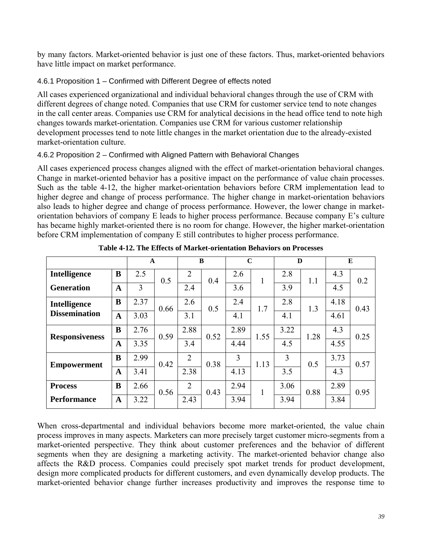by many factors. Market-oriented behavior is just one of these factors. Thus, market-oriented behaviors have little impact on market performance.

# 4.6.1 Proposition 1 – Confirmed with Different Degree of effects noted

All cases experienced organizational and individual behavioral changes through the use of CRM with different degrees of change noted. Companies that use CRM for customer service tend to note changes in the call center areas. Companies use CRM for analytical decisions in the head office tend to note high changes towards market-orientation. Companies use CRM for various customer relationship development processes tend to note little changes in the market orientation due to the already-existed market-orientation culture.

# 4.6.2 Proposition 2 – Confirmed with Aligned Pattern with Behavioral Changes

All cases experienced process changes aligned with the effect of market-orientation behavioral changes. Change in market-oriented behavior has a positive impact on the performance of value chain processes. Such as the table 4-12, the higher market-orientation behaviors before CRM implementation lead to higher degree and change of process performance. The higher change in market-orientation behaviors also leads to higher degree and change of process performance. However, the lower change in marketorientation behaviors of company E leads to higher process performance. Because company E's culture has became highly market-oriented there is no room for change. However, the higher market-orientation before CRM implementation of company E still contributes to higher process performance.

|                       |              | $\mathbf{A}$ |      |                | B    | $\mathbf C$ |      | D              |      |      | E    |
|-----------------------|--------------|--------------|------|----------------|------|-------------|------|----------------|------|------|------|
| <b>Intelligence</b>   | B            | 2.5          | 0.5  | $\overline{2}$ | 0.4  | 2.6         |      | 2.8            | 1.1  | 4.3  | 0.2  |
| <b>Generation</b>     | $\mathbf{A}$ | 3            |      | 2.4            |      | 3.6         |      | 3.9            |      | 4.5  |      |
| Intelligence          | $\bf{B}$     | 2.37         | 0.66 | 2.6            | 0.5  | 2.4         | 1.7  | 2.8            | 1.3  | 4.18 | 0.43 |
| <b>Dissemination</b>  | $\mathbf A$  | 3.03         |      | 3.1            |      | 4.1         |      | 4.1            |      | 4.61 |      |
| <b>Responsiveness</b> | $\bf{B}$     | 2.76         | 0.59 | 2.88           | 0.52 | 2.89        | 1.55 | 3.22           | 1.28 | 4.3  | 0.25 |
|                       | $\mathbf A$  | 3.35         |      | 3.4            |      | 4.44        |      | 4.5            |      | 4.55 |      |
| <b>Empowerment</b>    | $\bf{B}$     | 2.99         | 0.42 | $\overline{2}$ | 0.38 | 3           | 1.13 | $\overline{3}$ | 0.5  | 3.73 | 0.57 |
|                       | $\mathbf A$  | 3.41         |      | 2.38           |      | 4.13        |      | 3.5            |      | 4.3  |      |
| <b>Process</b>        | $\bf{B}$     | 2.66         | 0.56 | $\overline{2}$ | 0.43 | 2.94        | 1    | 3.06           | 0.88 | 2.89 | 0.95 |
| <b>Performance</b>    | A            | 3.22         |      | 2.43           |      | 3.94        |      | 3.94           |      | 3.84 |      |

**Table 4-12. The Effects of Market-orientation Behaviors on Processes**

When cross-departmental and individual behaviors become more market-oriented, the value chain process improves in many aspects. Marketers can more precisely target customer micro-segments from a market-oriented perspective. They think about customer preferences and the behavior of different segments when they are designing a marketing activity. The market-oriented behavior change also affects the R&D process. Companies could precisely spot market trends for product development, design more complicated products for different customers, and even dynamically develop products. The market-oriented behavior change further increases productivity and improves the response time to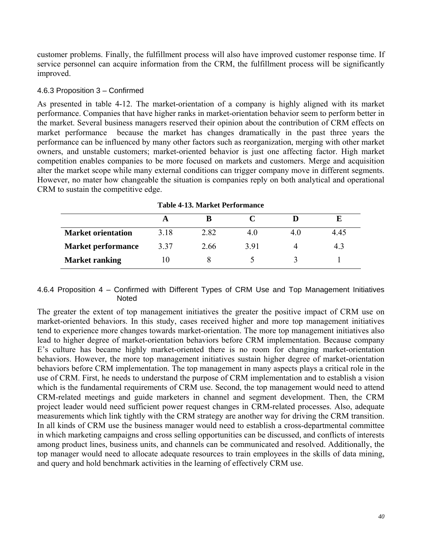customer problems. Finally, the fulfillment process will also have improved customer response time. If service personnel can acquire information from the CRM, the fulfillment process will be significantly improved.

### 4.6.3 Proposition 3 – Confirmed

As presented in table 4-12. The market-orientation of a company is highly aligned with its market performance. Companies that have higher ranks in market-orientation behavior seem to perform better in the market. Several business managers reserved their opinion about the contribution of CRM effects on market performance because the market has changes dramatically in the past three years the performance can be influenced by many other factors such as reorganization, merging with other market owners, and unstable customers; market-oriented behavior is just one affecting factor. High market competition enables companies to be more focused on markets and customers. Merge and acquisition alter the market scope while many external conditions can trigger company move in different segments. However, no mater how changeable the situation is companies reply on both analytical and operational CRM to sustain the competitive edge.

| Table 4-15. Market Periormance |      |      |     |    |      |  |  |  |  |  |  |
|--------------------------------|------|------|-----|----|------|--|--|--|--|--|--|
|                                |      |      |     |    |      |  |  |  |  |  |  |
| <b>Market orientation</b>      | 3.18 | 2.82 | 4.0 | 40 | 4.45 |  |  |  |  |  |  |
| <b>Market performance</b>      | 3.37 | 2.66 | 391 |    | 4.3  |  |  |  |  |  |  |
| <b>Market ranking</b>          | l () |      |     |    |      |  |  |  |  |  |  |

**Table 4-13. Market Performance**

#### 4.6.4 Proposition 4 – Confirmed with Different Types of CRM Use and Top Management Initiatives **Noted**

The greater the extent of top management initiatives the greater the positive impact of CRM use on market-oriented behaviors. In this study, cases received higher and more top management initiatives tend to experience more changes towards market-orientation. The more top management initiatives also lead to higher degree of market-orientation behaviors before CRM implementation. Because company E's culture has became highly market-oriented there is no room for changing market-orientation behaviors. However, the more top management initiatives sustain higher degree of market-orientation behaviors before CRM implementation. The top management in many aspects plays a critical role in the use of CRM. First, he needs to understand the purpose of CRM implementation and to establish a vision which is the fundamental requirements of CRM use. Second, the top management would need to attend CRM-related meetings and guide marketers in channel and segment development. Then, the CRM project leader would need sufficient power request changes in CRM-related processes. Also, adequate measurements which link tightly with the CRM strategy are another way for driving the CRM transition. In all kinds of CRM use the business manager would need to establish a cross-departmental committee in which marketing campaigns and cross selling opportunities can be discussed, and conflicts of interests among product lines, business units, and channels can be communicated and resolved. Additionally, the top manager would need to allocate adequate resources to train employees in the skills of data mining, and query and hold benchmark activities in the learning of effectively CRM use.